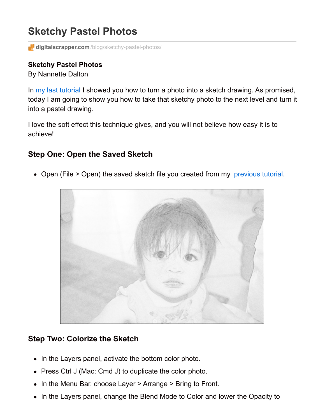# **Sketchy Pastel Photos**

**digitalscrapper.com**[/blog/sketchy-pastel-photos/](http://www.digitalscrapper.com/blog/sketchy-pastel-photos/)

#### **Sketchy Pastel Photos**

By Nannette Dalton

In my last [tutorial](http://www.digitalscrapper.com/blog/sketchy-photos-01) I showed you how to turn a photo into a sketch drawing. As promised, today I am going to show you how to take that sketchy photo to the next level and turn it into a pastel drawing.

I love the soft effect this technique gives, and you will not believe how easy it is to achieve!

## **Step One: Open the Saved Sketch**

• Open (File > Open) the saved sketch file you created from my [previous](http://www.digitalscrapper.com/blog/sketchy-photos-01) tutorial.



### **Step Two: Colorize the Sketch**

- In the Layers panel, activate the bottom color photo.
- Press Ctrl J (Mac: Cmd J) to duplicate the color photo.
- In the Menu Bar, choose Layer > Arrange > Bring to Front.
- In the Layers panel, change the Blend Mode to Color and lower the Opacity to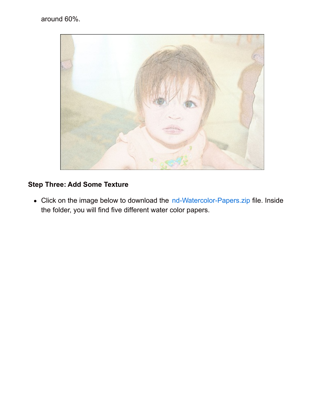

# **Step Three: Add Some Texture**

Click on the image below to download the [nd-Watercolor-Papers.zip](https://ds-freebies.s3.amazonaws.com/newsletter/nd-Watercolor-Papers.zip) file. Inside the folder, you will find five different water color papers.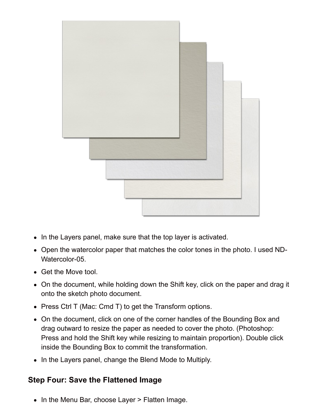

- In the Layers panel, make sure that the top layer is activated.
- Open the watercolor paper that matches the color tones in the photo. I used ND-Watercolor-05.
- Get the Move tool.
- On the document, while holding down the Shift key, click on the paper and drag it onto the sketch photo document.
- Press Ctrl T (Mac: Cmd T) to get the Transform options.
- On the document, click on one of the corner handles of the Bounding Box and drag outward to resize the paper as needed to cover the photo. (Photoshop: Press and hold the Shift key while resizing to maintain proportion). Double click inside the Bounding Box to commit the transformation.
- In the Layers panel, change the Blend Mode to Multiply.

## **Step Four: Save the Flattened Image**

• In the Menu Bar, choose Layer > Flatten Image.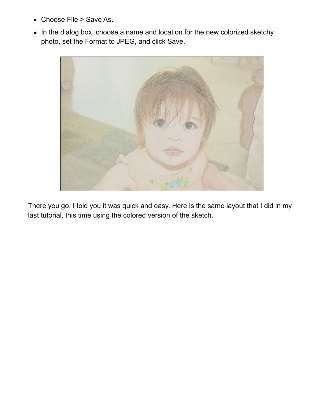- Choose File > Save As.
- In the dialog box, choose a name and location for the new colorized sketchy photo, set the Format to JPEG, and click Save.



There you go. I told you it was quick and easy. Here is the same layout that I did in my last tutorial, this time using the colored version of the sketch.